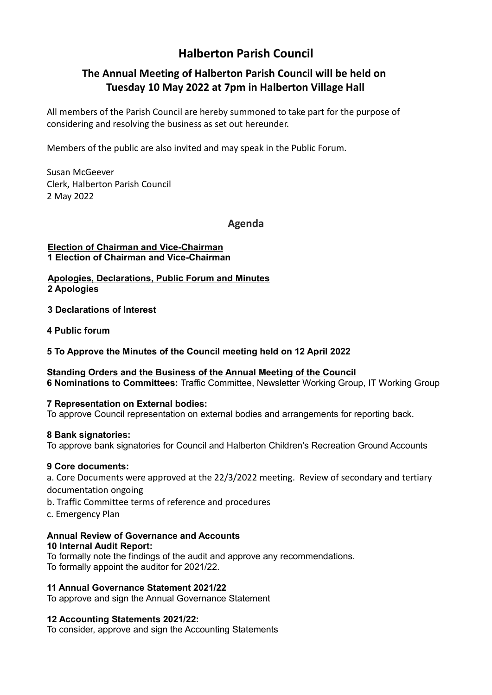# Halberton Parish Council

# The Annual Meeting of Halberton Parish Council will be held on Tuesday 10 May 2022 at 7pm in Halberton Village Hall

All members of the Parish Council are hereby summoned to take part for the purpose of considering and resolving the business as set out hereunder.

Members of the public are also invited and may speak in the Public Forum.

Susan McGeever Clerk, Halberton Parish Council 2 May 2022

Agenda

#### Election of Chairman and Vice-Chairman 1 Election of Chairman and Vice-Chairman

Apologies, Declarations, Public Forum and Minutes 2 Apologies

3 Declarations of Interest

4 Public forum

5 To Approve the Minutes of the Council meeting held on 12 April 2022

Standing Orders and the Business of the Annual Meeting of the Council 6 Nominations to Committees: Traffic Committee, Newsletter Working Group, IT Working Group

#### 7 Representation on External bodies:

To approve Council representation on external bodies and arrangements for reporting back.

#### 8 Bank signatories:

To approve bank signatories for Council and Halberton Children's Recreation Ground Accounts

### 9 Core documents:

a. Core Documents were approved at the 22/3/2022 meeting. Review of secondary and tertiary documentation ongoing

- b. Traffic Committee terms of reference and procedures
- c. Emergency Plan

#### Annual Review of Governance and Accounts

#### 10 Internal Audit Report:

To formally note the findings of the audit and approve any recommendations. To formally appoint the auditor for 2021/22.

#### 11 Annual Governance Statement 2021/22

To approve and sign the Annual Governance Statement

#### 12 Accounting Statements 2021/22:

To consider, approve and sign the Accounting Statements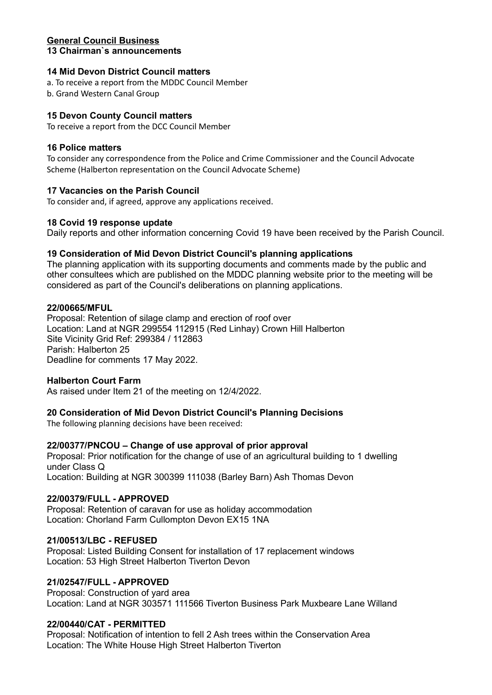#### General Council Business 13 Chairman`s announcements

#### 14 Mid Devon District Council matters

a. To receive a report from the MDDC Council Member

b. Grand Western Canal Group

#### 15 Devon County Council matters

To receive a report from the DCC Council Member

#### 16 Police matters

To consider any correspondence from the Police and Crime Commissioner and the Council Advocate Scheme (Halberton representation on the Council Advocate Scheme)

#### 17 Vacancies on the Parish Council

To consider and, if agreed, approve any applications received.

#### 18 Covid 19 response update

Daily reports and other information concerning Covid 19 have been received by the Parish Council.

#### 19 Consideration of Mid Devon District Council's planning applications

The planning application with its supporting documents and comments made by the public and other consultees which are published on the MDDC planning website prior to the meeting will be considered as part of the Council's deliberations on planning applications.

#### 22/00665/MFUL

Proposal: Retention of silage clamp and erection of roof over Location: Land at NGR 299554 112915 (Red Linhay) Crown Hill Halberton Site Vicinity Grid Ref: 299384 / 112863 Parish: Halberton 25 Deadline for comments 17 May 2022.

#### Halberton Court Farm

As raised under Item 21 of the meeting on 12/4/2022.

#### 20 Consideration of Mid Devon District Council's Planning Decisions

The following planning decisions have been received:

#### 22/00377/PNCOU – Change of use approval of prior approval

Proposal: Prior notification for the change of use of an agricultural building to 1 dwelling under Class Q Location: Building at NGR 300399 111038 (Barley Barn) Ash Thomas Devon

#### 22/00379/FULL - APPROVED

Proposal: Retention of caravan for use as holiday accommodation Location: Chorland Farm Cullompton Devon EX15 1NA

#### 21/00513/LBC - REFUSED

Proposal: Listed Building Consent for installation of 17 replacement windows Location: 53 High Street Halberton Tiverton Devon

### 21/02547/FULL - APPROVED

Proposal: Construction of yard area Location: Land at NGR 303571 111566 Tiverton Business Park Muxbeare Lane Willand

#### 22/00440/CAT - PERMITTED

Proposal: Notification of intention to fell 2 Ash trees within the Conservation Area Location: The White House High Street Halberton Tiverton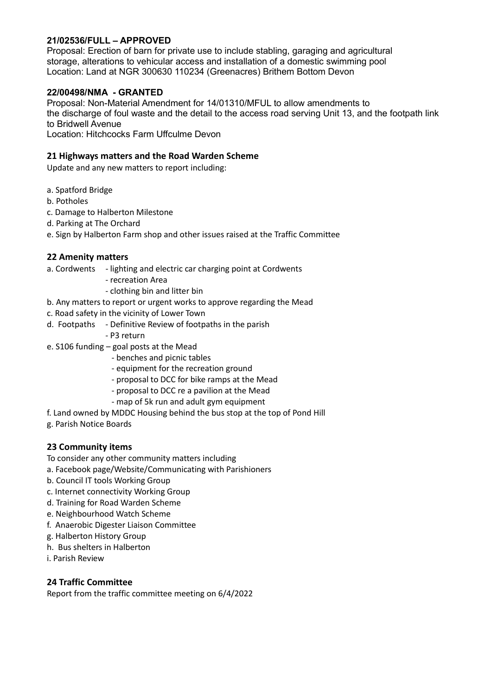# 21/02536/FULL – APPROVED

Proposal: Erection of barn for private use to include stabling, garaging and agricultural storage, alterations to vehicular access and installation of a domestic swimming pool Location: Land at NGR 300630 110234 (Greenacres) Brithem Bottom Devon

## 22/00498/NMA - GRANTED

Proposal: Non-Material Amendment for 14/01310/MFUL to allow amendments to the discharge of foul waste and the detail to the access road serving Unit 13, and the footpath link to Bridwell Avenue

Location: Hitchcocks Farm Uffculme Devon

#### 21 Highways matters and the Road Warden Scheme

Update and any new matters to report including:

- a. Spatford Bridge
- b. Potholes
- c. Damage to Halberton Milestone
- d. Parking at The Orchard
- e. Sign by Halberton Farm shop and other issues raised at the Traffic Committee

#### 22 Amenity matters

- a. Cordwents lighting and electric car charging point at Cordwents
	- recreation Area
	- clothing bin and litter bin
- b. Any matters to report or urgent works to approve regarding the Mead
- c. Road safety in the vicinity of Lower Town
- d. Footpaths Definitive Review of footpaths in the parish
	- P3 return
- e. S106 funding goal posts at the Mead
	- benches and picnic tables
	- equipment for the recreation ground
	- proposal to DCC for bike ramps at the Mead
	- proposal to DCC re a pavilion at the Mead
	- map of 5k run and adult gym equipment
- f. Land owned by MDDC Housing behind the bus stop at the top of Pond Hill
- g. Parish Notice Boards

#### 23 Community items

- To consider any other community matters including
- a. Facebook page/Website/Communicating with Parishioners
- b. Council IT tools Working Group
- c. Internet connectivity Working Group
- d. Training for Road Warden Scheme
- e. Neighbourhood Watch Scheme
- f. Anaerobic Digester Liaison Committee
- g. Halberton History Group
- h. Bus shelters in Halberton
- i. Parish Review

#### 24 Traffic Committee

Report from the traffic committee meeting on 6/4/2022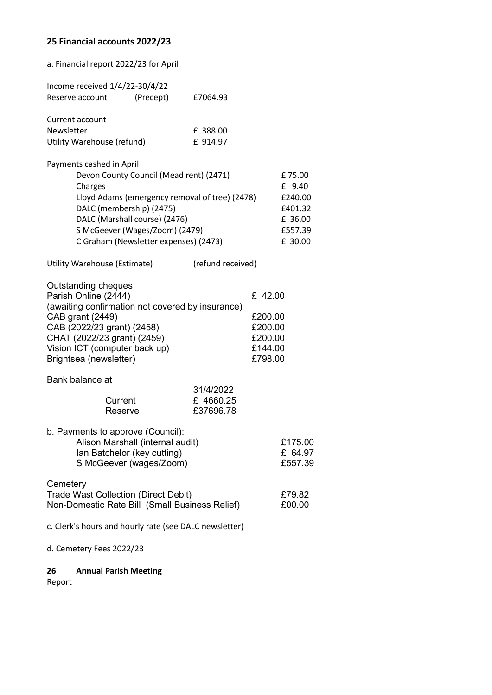# 25 Financial accounts 2022/23

| a. Financial report 2022/23 for April                                                                                                                                                                                                                                    |                                                                |                       |                                                                |                                                                         |
|--------------------------------------------------------------------------------------------------------------------------------------------------------------------------------------------------------------------------------------------------------------------------|----------------------------------------------------------------|-----------------------|----------------------------------------------------------------|-------------------------------------------------------------------------|
|                                                                                                                                                                                                                                                                          | Income received 1/4/22-30/4/22<br>(Precept)<br>Reserve account | £7064.93              |                                                                |                                                                         |
| Current account<br>Newsletter<br>Utility Warehouse (refund)                                                                                                                                                                                                              |                                                                | £ 388.00<br>£ 914.97  |                                                                |                                                                         |
| Payments cashed in April<br>Devon County Council (Mead rent) (2471)<br>Charges<br>Lloyd Adams (emergency removal of tree) (2478)<br>DALC (membership) (2475)<br>DALC (Marshall course) (2476)<br>S McGeever (Wages/Zoom) (2479)<br>C Graham (Newsletter expenses) (2473) |                                                                |                       |                                                                | £75.00<br>£ 9.40<br>£240.00<br>£401.32<br>£ 36.00<br>£557.39<br>£ 30.00 |
| (refund received)<br>Utility Warehouse (Estimate)                                                                                                                                                                                                                        |                                                                |                       |                                                                |                                                                         |
| Outstanding cheques:<br>Parish Online (2444)<br>(awaiting confirmation not covered by insurance)<br>CAB grant (2449)<br>CAB (2022/23 grant) (2458)<br>CHAT (2022/23 grant) (2459)<br>Vision ICT (computer back up)<br>Brightsea (newsletter)                             |                                                                |                       | £ 42.00<br>£200.00<br>£200.00<br>£200.00<br>£144.00<br>£798.00 |                                                                         |
| Bank balance at<br>31/4/2022                                                                                                                                                                                                                                             |                                                                |                       |                                                                |                                                                         |
|                                                                                                                                                                                                                                                                          | Current<br>Reserve                                             | £4660.25<br>£37696.78 |                                                                |                                                                         |
| b. Payments to approve (Council):<br>Alison Marshall (internal audit)<br>Ian Batchelor (key cutting)<br>S McGeever (wages/Zoom)                                                                                                                                          |                                                                |                       | £175.00<br>£ 64.97<br>£557.39                                  |                                                                         |
| Cemetery<br><b>Trade Wast Collection (Direct Debit)</b><br>Non-Domestic Rate Bill (Small Business Relief)                                                                                                                                                                |                                                                |                       |                                                                | £79.82<br>£00.00                                                        |
| c. Clerk's hours and hourly rate (see DALC newsletter)                                                                                                                                                                                                                   |                                                                |                       |                                                                |                                                                         |
| d. Cemetery Fees 2022/23                                                                                                                                                                                                                                                 |                                                                |                       |                                                                |                                                                         |

26 Annual Parish Meeting Report